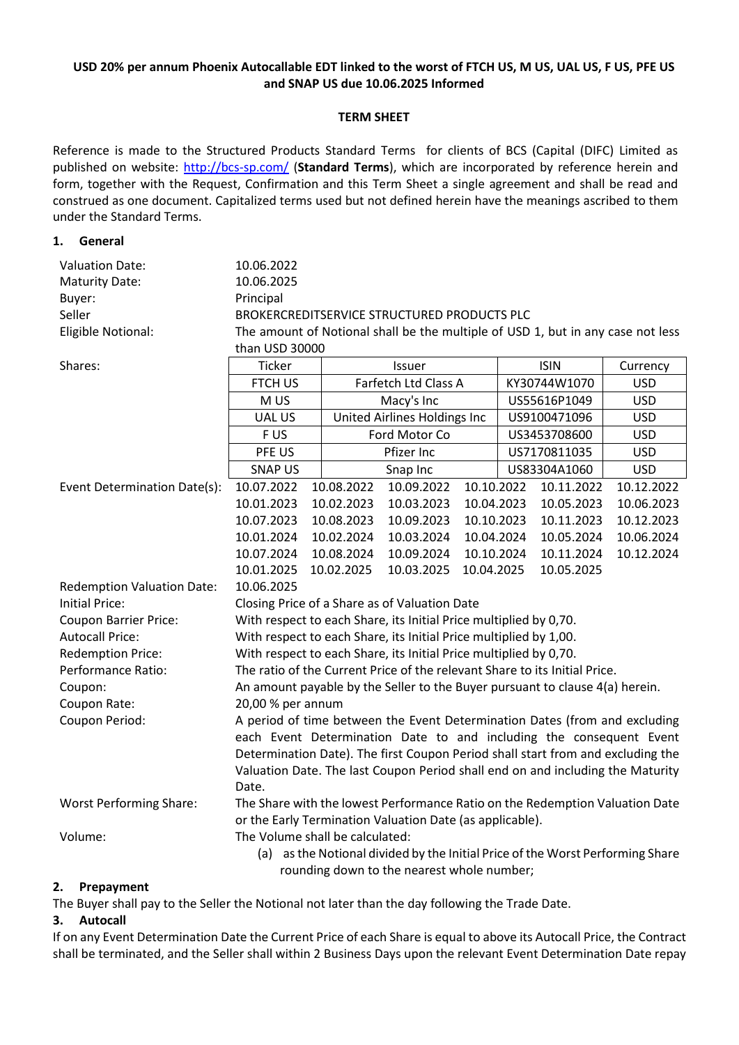## **USD 20% per annum Phoenix Autocallable EDT linked to the worst of FTCH US, M US, UAL US, F US, PFE US and SNAP US due 10.06.2025 Informed**

### **TERM SHEET**

Reference is made to the Structured Products Standard Terms for clients of BCS (Capital (DIFC) Limited as published on website:<http://bcs-sp.com/> (**Standard Terms**), which are incorporated by reference herein and form, together with the Request, Confirmation and this Term Sheet a single agreement and shall be read and construed as one document. Capitalized terms used but not defined herein have the meanings ascribed to them under the Standard Terms.

### **1. General**

| <b>Valuation Date:</b>                     | 10.06.2022                                                                      |  |                              |            |            |              |            |            |
|--------------------------------------------|---------------------------------------------------------------------------------|--|------------------------------|------------|------------|--------------|------------|------------|
| <b>Maturity Date:</b>                      | 10.06.2025                                                                      |  |                              |            |            |              |            |            |
| Buyer:                                     | Principal                                                                       |  |                              |            |            |              |            |            |
| Seller                                     | BROKERCREDITSERVICE STRUCTURED PRODUCTS PLC                                     |  |                              |            |            |              |            |            |
| Eligible Notional:                         | The amount of Notional shall be the multiple of USD 1, but in any case not less |  |                              |            |            |              |            |            |
|                                            | than USD 30000                                                                  |  |                              |            |            |              |            |            |
| Shares:                                    | Ticker                                                                          |  | Issuer                       |            |            | <b>ISIN</b>  |            | Currency   |
|                                            | <b>FTCH US</b>                                                                  |  | Farfetch Ltd Class A         |            |            | KY30744W1070 |            | <b>USD</b> |
|                                            | M US                                                                            |  | Macy's Inc                   |            |            | US55616P1049 |            | <b>USD</b> |
|                                            | <b>UAL US</b>                                                                   |  | United Airlines Holdings Inc |            |            | US9100471096 |            | <b>USD</b> |
|                                            | F US                                                                            |  | Ford Motor Co                |            |            | US3453708600 |            | <b>USD</b> |
|                                            | PFE US                                                                          |  | Pfizer Inc                   |            |            | US7170811035 |            | <b>USD</b> |
|                                            | <b>SNAP US</b>                                                                  |  | Snap Inc                     |            |            | US83304A1060 |            | <b>USD</b> |
| Event Determination Date(s):               | 10.07.2022                                                                      |  | 10.08.2022                   | 10.09.2022 | 10.10.2022 |              | 10.11.2022 | 10.12.2022 |
|                                            | 10.01.2023                                                                      |  | 10.02.2023                   | 10.03.2023 | 10.04.2023 |              | 10.05.2023 | 10.06.2023 |
|                                            | 10.07.2023                                                                      |  | 10.08.2023                   | 10.09.2023 | 10.10.2023 |              | 10.11.2023 | 10.12.2023 |
|                                            | 10.01.2024                                                                      |  | 10.02.2024                   | 10.03.2024 | 10.04.2024 |              | 10.05.2024 | 10.06.2024 |
|                                            | 10.07.2024                                                                      |  | 10.08.2024                   | 10.09.2024 | 10.10.2024 |              | 10.11.2024 | 10.12.2024 |
|                                            | 10.01.2025                                                                      |  | 10.02.2025                   | 10.03.2025 | 10.04.2025 |              | 10.05.2025 |            |
| <b>Redemption Valuation Date:</b>          | 10.06.2025                                                                      |  |                              |            |            |              |            |            |
| <b>Initial Price:</b>                      | Closing Price of a Share as of Valuation Date                                   |  |                              |            |            |              |            |            |
| <b>Coupon Barrier Price:</b>               | With respect to each Share, its Initial Price multiplied by 0,70.               |  |                              |            |            |              |            |            |
| <b>Autocall Price:</b>                     | With respect to each Share, its Initial Price multiplied by 1,00.               |  |                              |            |            |              |            |            |
| <b>Redemption Price:</b>                   | With respect to each Share, its Initial Price multiplied by 0,70.               |  |                              |            |            |              |            |            |
| Performance Ratio:                         | The ratio of the Current Price of the relevant Share to its Initial Price.      |  |                              |            |            |              |            |            |
| Coupon:                                    | An amount payable by the Seller to the Buyer pursuant to clause 4(a) herein.    |  |                              |            |            |              |            |            |
| Coupon Rate:                               | 20,00 % per annum                                                               |  |                              |            |            |              |            |            |
| Coupon Period:                             | A period of time between the Event Determination Dates (from and excluding      |  |                              |            |            |              |            |            |
|                                            | each Event Determination Date to and including the consequent Event             |  |                              |            |            |              |            |            |
|                                            | Determination Date). The first Coupon Period shall start from and excluding the |  |                              |            |            |              |            |            |
|                                            | Valuation Date. The last Coupon Period shall end on and including the Maturity  |  |                              |            |            |              |            |            |
|                                            | Date.                                                                           |  |                              |            |            |              |            |            |
| <b>Worst Performing Share:</b>             | The Share with the lowest Performance Ratio on the Redemption Valuation Date    |  |                              |            |            |              |            |            |
|                                            | or the Early Termination Valuation Date (as applicable).                        |  |                              |            |            |              |            |            |
| Volume:                                    | The Volume shall be calculated:                                                 |  |                              |            |            |              |            |            |
|                                            | (a) as the Notional divided by the Initial Price of the Worst Performing Share  |  |                              |            |            |              |            |            |
| rounding down to the nearest whole number; |                                                                                 |  |                              |            |            |              |            |            |

### **2. Prepayment**

The Buyer shall pay to the Seller the Notional not later than the day following the Trade Date.

### **3. Autocall**

If on any Event Determination Date the Current Price of each Share is equal to above its Autocall Price, the Contract shall be terminated, and the Seller shall within 2 Business Days upon the relevant Event Determination Date repay